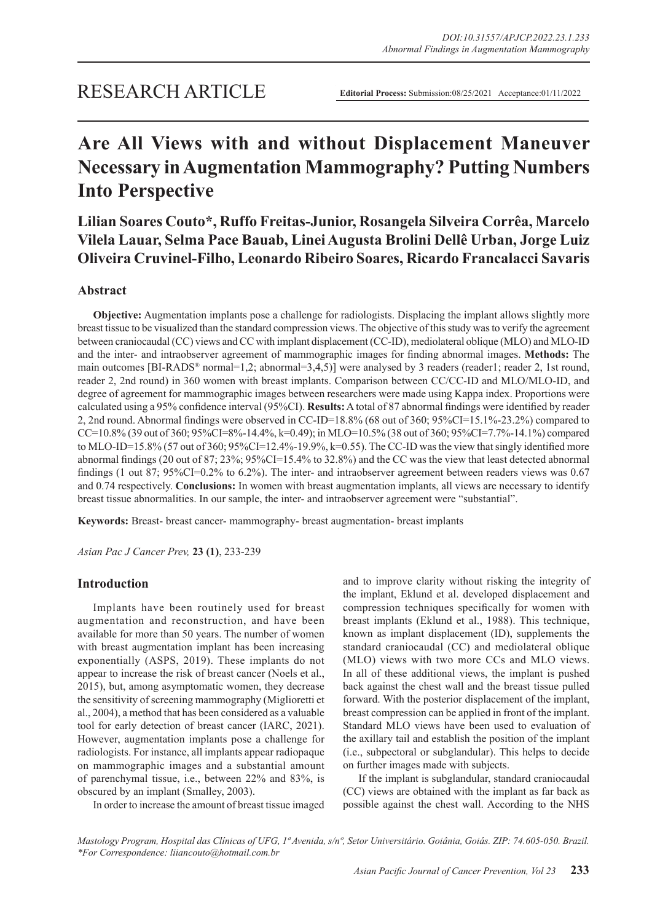## RESEARCH ARTICLE

**Editorial Process:** Submission:08/25/2021 Acceptance:01/11/2022

# **Are All Views with and without Displacement Maneuver Necessary in Augmentation Mammography? Putting Numbers Into Perspective**

**Lilian Soares Couto\*, Ruffo Freitas-Junior, Rosangela Silveira Corrêa, Marcelo Vilela Lauar, Selma Pace Bauab, Linei Augusta Brolini Dellê Urban, Jorge Luiz Oliveira Cruvinel-Filho, Leonardo Ribeiro Soares, Ricardo Francalacci Savaris**

## **Abstract**

**Objective:** Augmentation implants pose a challenge for radiologists. Displacing the implant allows slightly more breast tissue to be visualized than the standard compression views. The objective of this study was to verify the agreement between craniocaudal (CC) views and CC with implant displacement (CC-ID), mediolateral oblique (MLO) and MLO-ID and the inter- and intraobserver agreement of mammographic images for finding abnormal images. **Methods:** The main outcomes [BI-RADS<sup>®</sup> normal=1,2; abnormal=3,4,5)] were analysed by 3 readers (reader1; reader 2, 1st round, reader 2, 2nd round) in 360 women with breast implants. Comparison between CC/CC-ID and MLO/MLO-ID, and degree of agreement for mammographic images between researchers were made using Kappa index. Proportions were calculated using a 95% confidence interval (95%CI). **Results:** A total of 87 abnormal findings were identified by reader 2, 2nd round. Abnormal findings were observed in CC-ID=18.8% (68 out of 360; 95%CI=15.1%-23.2%) compared to CC=10.8% (39 out of 360; 95%CI=8%-14.4%, k=0.49); in MLO=10.5% (38 out of 360; 95%CI=7.7%-14.1%) compared to MLO-ID=15.8% (57 out of 360; 95%CI=12.4%-19.9%, k=0.55). The CC-ID was the view that singly identified more abnormal findings (20 out of 87; 23%; 95%CI=15.4% to 32.8%) and the CC was the view that least detected abnormal findings (1 out 87; 95%CI=0.2% to 6.2%). The inter- and intraobserver agreement between readers views was 0.67 and 0.74 respectively. **Conclusions:** In women with breast augmentation implants, all views are necessary to identify breast tissue abnormalities. In our sample, the inter- and intraobserver agreement were "substantial".

**Keywords:** Breast- breast cancer- mammography- breast augmentation- breast implants

*Asian Pac J Cancer Prev,* **23 (1)**, 233-239

## **Introduction**

Implants have been routinely used for breast augmentation and reconstruction, and have been available for more than 50 years. The number of women with breast augmentation implant has been increasing exponentially (ASPS, 2019). These implants do not appear to increase the risk of breast cancer (Noels et al., 2015), but, among asymptomatic women, they decrease the sensitivity of screening mammography (Miglioretti et al., 2004), a method that has been considered as a valuable tool for early detection of breast cancer (IARC, 2021). However, augmentation implants pose a challenge for radiologists. For instance, all implants appear radiopaque on mammographic images and a substantial amount of parenchymal tissue, i.e., between 22% and 83%, is obscured by an implant (Smalley, 2003).

In order to increase the amount of breast tissue imaged

and to improve clarity without risking the integrity of the implant, Eklund et al. developed displacement and compression techniques specifically for women with breast implants (Eklund et al., 1988). This technique, known as implant displacement (ID), supplements the standard craniocaudal (CC) and mediolateral oblique (MLO) views with two more CCs and MLO views. In all of these additional views, the implant is pushed back against the chest wall and the breast tissue pulled forward. With the posterior displacement of the implant, breast compression can be applied in front of the implant. Standard MLO views have been used to evaluation of the axillary tail and establish the position of the implant (i.e., subpectoral or subglandular). This helps to decide on further images made with subjects.

If the implant is subglandular, standard craniocaudal (CC) views are obtained with the implant as far back as possible against the chest wall. According to the NHS

*Mastology Program, Hospital das Clínicas of UFG, 1ª Avenida, s/nº, Setor Universitário. Goiânia, Goiás. ZIP: 74.605-050. Brazil. \*For Correspondence: liiancouto@hotmail.com.br*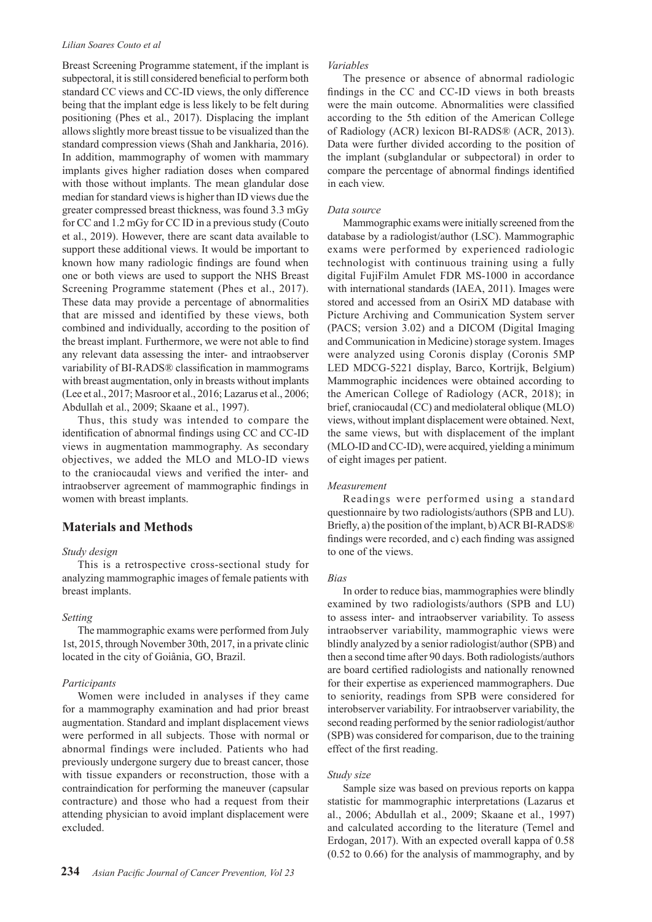#### *Lilian Soares Couto et al*

Breast Screening Programme statement, if the implant is subpectoral, it is still considered beneficial to perform both standard CC views and CC-ID views, the only difference being that the implant edge is less likely to be felt during positioning (Phes et al., 2017). Displacing the implant allows slightly more breast tissue to be visualized than the standard compression views (Shah and Jankharia, 2016). In addition, mammography of women with mammary implants gives higher radiation doses when compared with those without implants. The mean glandular dose median for standard views is higher than ID views due the greater compressed breast thickness, was found 3.3 mGy for CC and 1.2 mGy for CC ID in a previous study (Couto et al., 2019). However, there are scant data available to support these additional views. It would be important to known how many radiologic findings are found when one or both views are used to support the NHS Breast Screening Programme statement (Phes et al., 2017). These data may provide a percentage of abnormalities that are missed and identified by these views, both combined and individually, according to the position of the breast implant. Furthermore, we were not able to find any relevant data assessing the inter- and intraobserver variability of BI-RADS® classification in mammograms with breast augmentation, only in breasts without implants (Lee et al., 2017; Masroor et al., 2016; Lazarus et al., 2006; Abdullah et al., 2009; Skaane et al., 1997).

Thus, this study was intended to compare the identification of abnormal findings using CC and CC-ID views in augmentation mammography. As secondary objectives, we added the MLO and MLO-ID views to the craniocaudal views and verified the inter- and intraobserver agreement of mammographic findings in women with breast implants.

## **Materials and Methods**

#### *Study design*

This is a retrospective cross-sectional study for analyzing mammographic images of female patients with breast implants.

#### *Setting*

The mammographic exams were performed from July 1st, 2015, through November 30th, 2017, in a private clinic located in the city of Goiânia, GO, Brazil.

#### *Participants*

Women were included in analyses if they came for a mammography examination and had prior breast augmentation. Standard and implant displacement views were performed in all subjects. Those with normal or abnormal findings were included. Patients who had previously undergone surgery due to breast cancer, those with tissue expanders or reconstruction, those with a contraindication for performing the maneuver (capsular contracture) and those who had a request from their attending physician to avoid implant displacement were excluded.

#### *Variables*

The presence or absence of abnormal radiologic findings in the CC and CC-ID views in both breasts were the main outcome. Abnormalities were classified according to the 5th edition of the American College of Radiology (ACR) lexicon BI-RADS® (ACR, 2013). Data were further divided according to the position of the implant (subglandular or subpectoral) in order to compare the percentage of abnormal findings identified in each view.

#### *Data source*

Mammographic exams were initially screened from the database by a radiologist/author (LSC). Mammographic exams were performed by experienced radiologic technologist with continuous training using a fully digital FujiFilm Amulet FDR MS-1000 in accordance with international standards (IAEA, 2011). Images were stored and accessed from an OsiriX MD database with Picture Archiving and Communication System server (PACS; version 3.02) and a DICOM (Digital Imaging and Communication in Medicine) storage system. Images were analyzed using Coronis display (Coronis 5MP LED MDCG-5221 display, Barco, Kortrijk, Belgium) Mammographic incidences were obtained according to the American College of Radiology (ACR, 2018); in brief, craniocaudal (CC) and mediolateral oblique (MLO) views, without implant displacement were obtained. Next, the same views, but with displacement of the implant (MLO-ID and CC-ID), were acquired, yielding a minimum of eight images per patient.

#### *Measurement*

Readings were performed using a standard questionnaire by two radiologists/authors (SPB and LU). Briefly, a) the position of the implant, b) ACR BI-RADS® findings were recorded, and c) each finding was assigned to one of the views.

#### *Bias*

In order to reduce bias, mammographies were blindly examined by two radiologists/authors (SPB and LU) to assess inter- and intraobserver variability. To assess intraobserver variability, mammographic views were blindly analyzed by a senior radiologist/author (SPB) and then a second time after 90 days. Both radiologists/authors are board certified radiologists and nationally renowned for their expertise as experienced mammographers. Due to seniority, readings from SPB were considered for interobserver variability. For intraobserver variability, the second reading performed by the senior radiologist/author (SPB) was considered for comparison, due to the training effect of the first reading.

#### *Study size*

Sample size was based on previous reports on kappa statistic for mammographic interpretations (Lazarus et al., 2006; Abdullah et al., 2009; Skaane et al., 1997) and calculated according to the literature (Temel and Erdogan, 2017). With an expected overall kappa of 0.58 (0.52 to 0.66) for the analysis of mammography, and by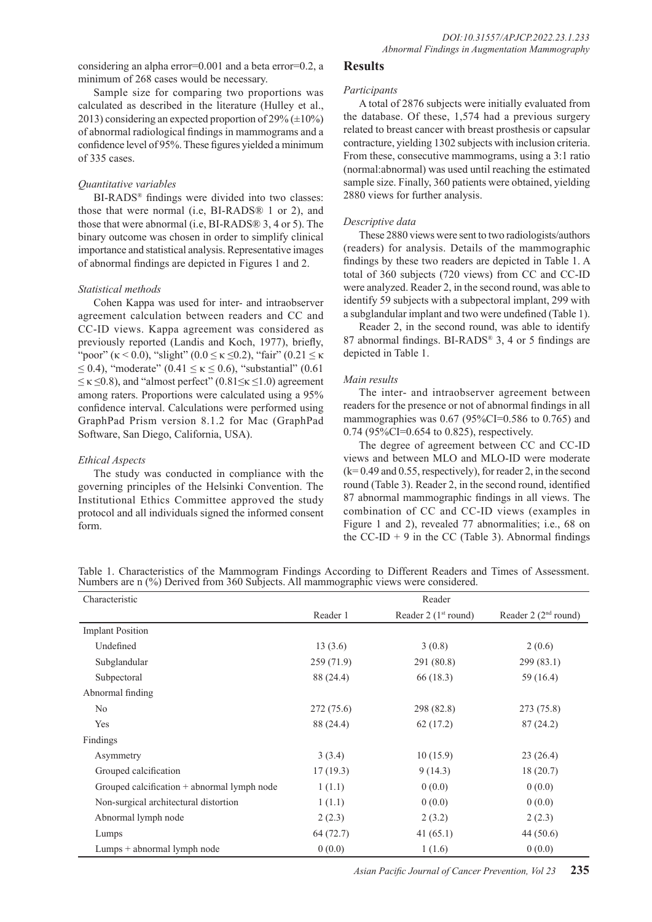considering an alpha error=0.001 and a beta error=0.2, a minimum of 268 cases would be necessary.

Sample size for comparing two proportions was calculated as described in the literature (Hulley et al., 2013) considering an expected proportion of  $29\% (\pm 10\%)$ of abnormal radiological findings in mammograms and a confidence level of 95%. These figures yielded a minimum of 335 cases.

#### *Quantitative variables*

BI-RADS® findings were divided into two classes: those that were normal (i.e, BI-RADS® 1 or 2), and those that were abnormal (i.e, BI-RADS® 3, 4 or 5). The binary outcome was chosen in order to simplify clinical importance and statistical analysis. Representative images of abnormal findings are depicted in Figures 1 and 2.

#### *Statistical methods*

Cohen Kappa was used for inter- and intraobserver agreement calculation between readers and CC and CC-ID views. Kappa agreement was considered as previously reported (Landis and Koch, 1977), briefly, "poor" (κ < 0.0), "slight" (0.0  $\leq$  κ  $\leq$ 0.2), "fair" (0.21  $\leq$  κ  $≤$  0.4), "moderate" (0.41 ≤ κ ≤ 0.6), "substantial" (0.61  $\leq$   $\kappa$   $\leq$ 0.8), and "almost perfect" (0.81 $\leq$  $\kappa$   $\leq$ 1.0) agreement among raters. Proportions were calculated using a 95% confidence interval. Calculations were performed using GraphPad Prism version 8.1.2 for Mac (GraphPad Software, San Diego, California, USA).

#### *Ethical Aspects*

The study was conducted in compliance with the governing principles of the Helsinki Convention. The Institutional Ethics Committee approved the study protocol and all individuals signed the informed consent form.

## **Results**

#### *Participants*

A total of 2876 subjects were initially evaluated from the database. Of these, 1,574 had a previous surgery related to breast cancer with breast prosthesis or capsular contracture, yielding 1302 subjects with inclusion criteria. From these, consecutive mammograms, using a 3:1 ratio (normal:abnormal) was used until reaching the estimated sample size. Finally, 360 patients were obtained, yielding 2880 views for further analysis.

#### *Descriptive data*

These 2880 views were sent to two radiologists/authors (readers) for analysis. Details of the mammographic findings by these two readers are depicted in Table 1. A total of 360 subjects (720 views) from CC and CC-ID were analyzed. Reader 2, in the second round, was able to identify 59 subjects with a subpectoral implant, 299 with a subglandular implant and two were undefined (Table 1).

Reader 2, in the second round, was able to identify 87 abnormal findings. BI-RADS® 3, 4 or 5 findings are depicted in Table 1.

#### *Main results*

The inter- and intraobserver agreement between readers for the presence or not of abnormal findings in all mammographies was 0.67 (95%CI=0.586 to 0.765) and 0.74 (95%CI=0.654 to 0.825), respectively.

The degree of agreement between CC and CC-ID views and between MLO and MLO-ID were moderate (k= 0.49 and 0.55, respectively), for reader 2, in the second round (Table 3). Reader 2, in the second round, identified 87 abnormal mammographic findings in all views. The combination of CC and CC-ID views (examples in Figure 1 and 2), revealed 77 abnormalities; i.e., 68 on the CC-ID  $+$  9 in the CC (Table 3). Abnormal findings

Table 1. Characteristics of the Mammogram Findings According to Different Readers and Times of Assessment. Numbers are n (%) Derived from 360 Subjects. All mammographic views were considered.

| Characteristic                                | Reader    |                         |                        |  |  |
|-----------------------------------------------|-----------|-------------------------|------------------------|--|--|
|                                               | Reader 1  | Reader 2 ( $1st$ round) | Reader 2 $(2nd$ round) |  |  |
| <b>Implant Position</b>                       |           |                         |                        |  |  |
| Undefined                                     | 13(3.6)   | 3(0.8)                  | 2(0.6)                 |  |  |
| Subglandular                                  | 259(71.9) | 291 (80.8)              | 299(83.1)              |  |  |
| Subpectoral                                   | 88 (24.4) | 66 (18.3)               | 59 (16.4)              |  |  |
| Abnormal finding                              |           |                         |                        |  |  |
| N <sub>0</sub>                                | 272(75.6) | 298 (82.8)              | 273 (75.8)             |  |  |
| Yes                                           | 88 (24.4) | 62(17.2)                | 87(24.2)               |  |  |
| Findings                                      |           |                         |                        |  |  |
| Asymmetry                                     | 3(3.4)    | 10(15.9)                | 23(26.4)               |  |  |
| Grouped calcification                         | 17(19.3)  | 9(14.3)                 | 18(20.7)               |  |  |
| Grouped calcification $+$ abnormal lymph node | 1(1.1)    | 0(0.0)                  | 0(0.0)                 |  |  |
| Non-surgical architectural distortion         | 1(1.1)    | 0(0.0)                  | 0(0.0)                 |  |  |
| Abnormal lymph node                           | 2(2.3)    | 2(3.2)                  | 2(2.3)                 |  |  |
| Lumps                                         | 64 (72.7) | 41 $(65.1)$             | 44 (50.6)              |  |  |
| Lumps + abnormal lymph node                   | 0(0.0)    | 1(1.6)                  | 0(0.0)                 |  |  |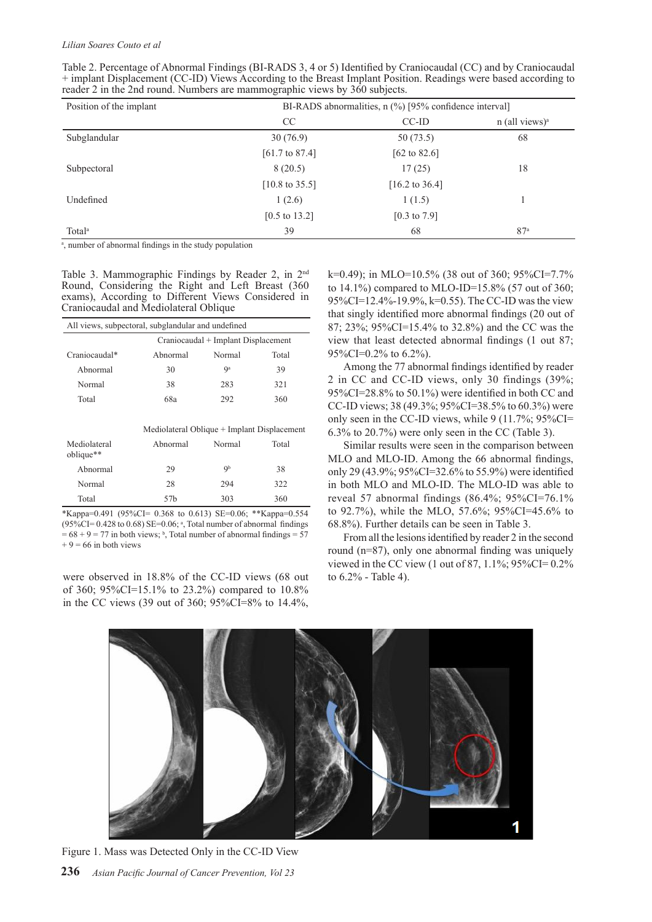#### *Lilian Soares Couto et al*

| Position of the implant | BI-RADS abnormalities, $n$ (%) [95% confidence interval] |                           |                              |  |
|-------------------------|----------------------------------------------------------|---------------------------|------------------------------|--|
|                         | CC.                                                      | $CC$ -ID                  | $n$ (all views) <sup>a</sup> |  |
| Subglandular            | 30(76.9)                                                 | 50(73.5)                  | 68                           |  |
|                         | $[61.7 \text{ to } 87.4]$                                | $[62 \text{ to } 82.6]$   |                              |  |
| Subpectoral             | 8(20.5)                                                  | 17(25)                    | 18                           |  |
|                         | $[10.8 \text{ to } 35.5]$                                | $[16.2 \text{ to } 36.4]$ |                              |  |
| Undefined               | 1(2.6)                                                   | 1(1.5)                    |                              |  |
|                         | $[0.5 \text{ to } 13.2]$                                 | $[0.3 \text{ to } 7.9]$   |                              |  |
| Total <sup>a</sup>      | 39                                                       | 68                        | 87 <sup>a</sup>              |  |

Table 2. Percentage of Abnormal Findings (BI-RADS 3, 4 or 5) Identified by Craniocaudal (CC) and by Craniocaudal + implant Displacement (CC-ID) Views According to the Breast Implant Position. Readings were based according to reader 2 in the 2nd round. Numbers are mammographic views by 360 subjects.

<sup>a</sup>, number of abnormal findings in the study population

Table 3. Mammographic Findings by Reader 2, in 2nd Round, Considering the Right and Left Breast (360 exams), According to Different Views Considered in Craniocaudal and Mediolateral Oblique

| All views, subpectoral, subglandular and undefined |                                     |        |       |  |  |
|----------------------------------------------------|-------------------------------------|--------|-------|--|--|
|                                                    | Craniocaudal + Implant Displacement |        |       |  |  |
| Craniocaudal*                                      | Abnormal                            | Normal | Total |  |  |
| Abnormal                                           | 30                                  | Qа     | 39    |  |  |
| Normal                                             | 38                                  | 283    | 321   |  |  |
| Total                                              | 68a                                 | 292    | 360   |  |  |
|                                                    |                                     |        |       |  |  |
| Mediolateral Oblique + Implant Displacement        |                                     |        |       |  |  |
| Mediolateral<br>oblique**                          | Abnormal                            | Normal | Total |  |  |
| Abnormal                                           | 29                                  | Qb     | 38    |  |  |
| Normal                                             | 28                                  | 294    | 322   |  |  |
| Total                                              | 57 <sub>b</sub>                     | 303    | 360   |  |  |

\*Kappa=0.491 (95%CI= 0.368 to 0.613) SE=0.06; \*\*Kappa=0.554  $(95\%CI = 0.428$  to  $0.68)$  SE=0.06; <sup>a</sup>, Total number of abnormal findings  $= 68 + 9 = 77$  in both views; <sup>b</sup>, Total number of abnormal findings = 57  $+ 9 = 66$  in both views

were observed in 18.8% of the CC-ID views (68 out of 360; 95%CI=15.1% to 23.2%) compared to 10.8% in the CC views (39 out of 360; 95%CI=8% to 14.4%,

k=0.49); in MLO=10.5% (38 out of 360; 95%CI=7.7% to 14.1%) compared to MLO-ID=15.8% (57 out of 360; 95%CI=12.4%-19.9%, k=0.55). The CC-ID was the view that singly identified more abnormal findings (20 out of 87; 23%; 95%CI=15.4% to 32.8%) and the CC was the view that least detected abnormal findings (1 out 87; 95%CI=0.2% to 6.2%).

Among the 77 abnormal findings identified by reader 2 in CC and CC-ID views, only 30 findings (39%; 95%CI=28.8% to 50.1%) were identified in both CC and CC-ID views; 38 (49.3%; 95%CI=38.5% to 60.3%) were only seen in the CC-ID views, while 9 (11.7%; 95%CI= 6.3% to 20.7%) were only seen in the CC (Table 3).

Similar results were seen in the comparison between MLO and MLO-ID. Among the 66 abnormal findings, only 29 (43.9%; 95%CI=32.6% to 55.9%) were identified in both MLO and MLO-ID. The MLO-ID was able to reveal 57 abnormal findings  $(86.4\%; 95\%CI = 76.1\%$ to 92.7%), while the MLO, 57.6%; 95%CI=45.6% to 68.8%). Further details can be seen in Table 3.

From all the lesions identified by reader 2 in the second round (n=87), only one abnormal finding was uniquely viewed in the CC view (1 out of 87,  $1.1\%$ ;  $95\%$ CI= 0.2% to 6.2% - Table 4).

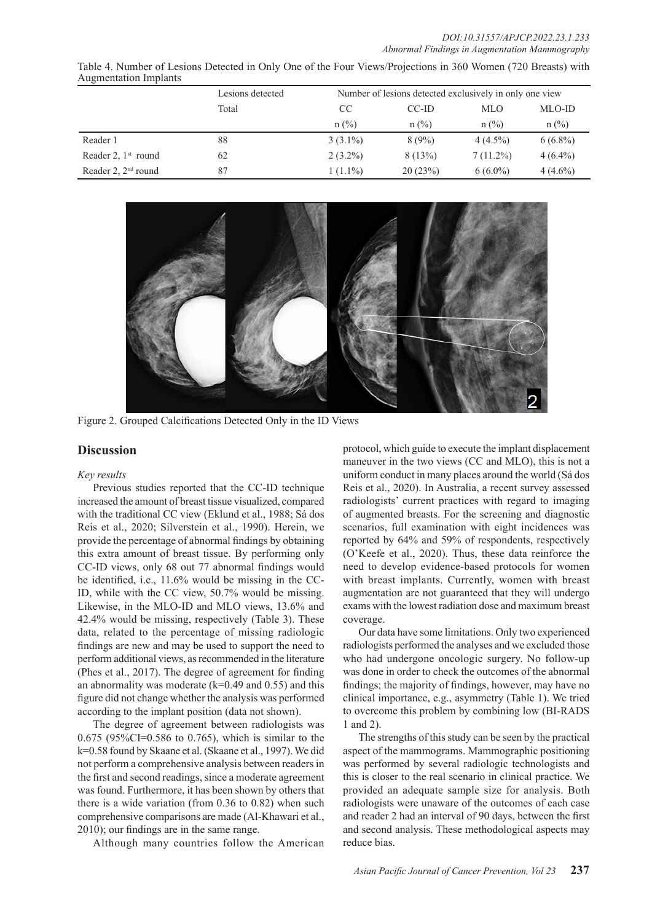*DOI:10.31557/APJCP.2022.23.1.233 Abnormal Findings in Augmentation Mammography*

| Table 4. Number of Lesions Detected in Only One of the Four Views/Projections in 360 Women (720 Breasts) with |  |  |  |
|---------------------------------------------------------------------------------------------------------------|--|--|--|
| <b>Augmentation Implants</b>                                                                                  |  |  |  |

|                       | Lesions detected | Number of lesions detected exclusively in only one view |          |             |            |
|-----------------------|------------------|---------------------------------------------------------|----------|-------------|------------|
|                       | Total            | CC                                                      | CC-ID    | <b>MLO</b>  | MLO-ID     |
|                       |                  | $n$ (%)                                                 | $n$ (%)  | $n$ (%)     | $n$ (%)    |
| Reader 1              | 88               | $3(3.1\%)$                                              | $8(9\%)$ | $4(4.5\%)$  | $6(6.8\%)$ |
| Reader 2, $1st$ round | 62               | $2(3.2\%)$                                              | 8(13%)   | $7(11.2\%)$ | $4(6.4\%)$ |
| Reader 2, $2nd$ round | 87               | $1(1.1\%)$                                              | 20(23%)  | $6(6.0\%)$  | $4(4.6\%)$ |



Figure 2. Grouped Calcifications Detected Only in the ID Views

## **Discussion**

#### *Key results*

Previous studies reported that the CC-ID technique increased the amount of breast tissue visualized, compared with the traditional CC view (Eklund et al., 1988; Sá dos Reis et al., 2020; Silverstein et al., 1990). Herein, we provide the percentage of abnormal findings by obtaining this extra amount of breast tissue. By performing only CC-ID views, only 68 out 77 abnormal findings would be identified, i.e., 11.6% would be missing in the CC-ID, while with the CC view, 50.7% would be missing. Likewise, in the MLO-ID and MLO views, 13.6% and 42.4% would be missing, respectively (Table 3). These data, related to the percentage of missing radiologic findings are new and may be used to support the need to perform additional views, as recommended in the literature (Phes et al., 2017). The degree of agreement for finding an abnormality was moderate  $(k=0.49$  and  $0.55)$  and this figure did not change whether the analysis was performed according to the implant position (data not shown).

The degree of agreement between radiologists was 0.675 (95%CI=0.586 to 0.765), which is similar to the k=0.58 found by Skaane et al. (Skaane et al., 1997). We did not perform a comprehensive analysis between readers in the first and second readings, since a moderate agreement was found. Furthermore, it has been shown by others that there is a wide variation (from 0.36 to 0.82) when such comprehensive comparisons are made (Al-Khawari et al., 2010); our findings are in the same range.

Although many countries follow the American

protocol, which guide to execute the implant displacement maneuver in the two views (CC and MLO), this is not a uniform conduct in many places around the world (Sá dos Reis et al., 2020). In Australia, a recent survey assessed radiologists' current practices with regard to imaging of augmented breasts. For the screening and diagnostic scenarios, full examination with eight incidences was reported by 64% and 59% of respondents, respectively (O'Keefe et al., 2020). Thus, these data reinforce the need to develop evidence-based protocols for women with breast implants. Currently, women with breast augmentation are not guaranteed that they will undergo exams with the lowest radiation dose and maximum breast coverage.

Our data have some limitations. Only two experienced radiologists performed the analyses and we excluded those who had undergone oncologic surgery. No follow-up was done in order to check the outcomes of the abnormal findings; the majority of findings, however, may have no clinical importance, e.g., asymmetry (Table 1). We tried to overcome this problem by combining low (BI-RADS 1 and 2).

The strengths of this study can be seen by the practical aspect of the mammograms. Mammographic positioning was performed by several radiologic technologists and this is closer to the real scenario in clinical practice. We provided an adequate sample size for analysis. Both radiologists were unaware of the outcomes of each case and reader 2 had an interval of 90 days, between the first and second analysis. These methodological aspects may reduce bias.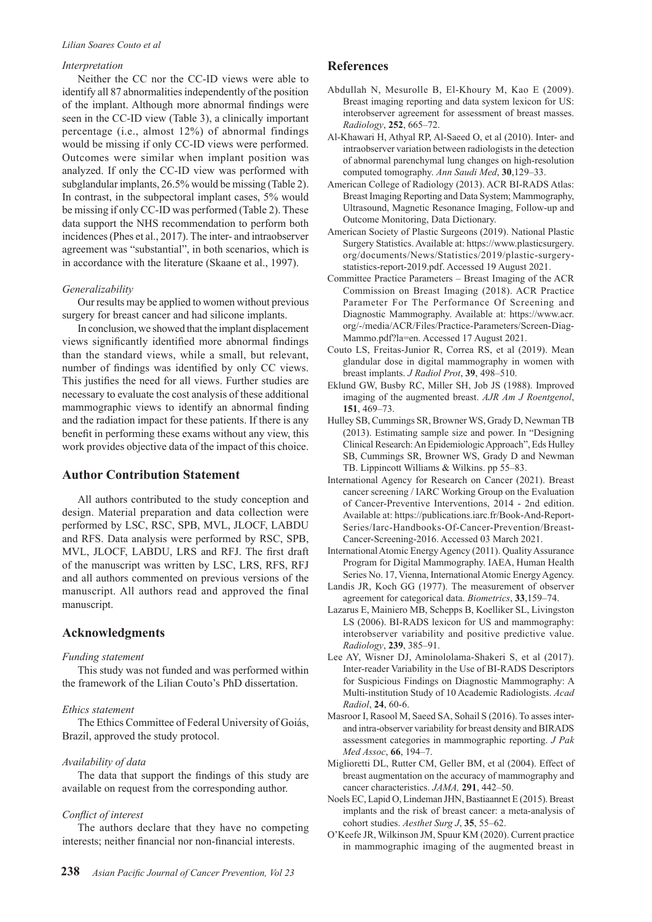#### *Lilian Soares Couto et al*

#### *Interpretation*

Neither the CC nor the CC-ID views were able to identify all 87 abnormalities independently of the position of the implant. Although more abnormal findings were seen in the CC-ID view (Table 3), a clinically important percentage (i.e., almost 12%) of abnormal findings would be missing if only CC-ID views were performed. Outcomes were similar when implant position was analyzed. If only the CC-ID view was performed with subglandular implants, 26.5% would be missing (Table 2). In contrast, in the subpectoral implant cases, 5% would be missing if only CC-ID was performed (Table 2). These data support the NHS recommendation to perform both incidences (Phes et al., 2017). The inter- and intraobserver agreement was "substantial", in both scenarios, which is in accordance with the literature (Skaane et al., 1997).

#### *Generalizability*

Our results may be applied to women without previous surgery for breast cancer and had silicone implants.

In conclusion, we showed that the implant displacement views significantly identified more abnormal findings than the standard views, while a small, but relevant, number of findings was identified by only CC views. This justifies the need for all views. Further studies are necessary to evaluate the cost analysis of these additional mammographic views to identify an abnormal finding and the radiation impact for these patients. If there is any benefit in performing these exams without any view, this work provides objective data of the impact of this choice.

## **Author Contribution Statement**

All authors contributed to the study conception and design. Material preparation and data collection were performed by LSC, RSC, SPB, MVL, JLOCF, LABDU and RFS. Data analysis were performed by RSC, SPB, MVL, JLOCF, LABDU, LRS and RFJ. The first draft of the manuscript was written by LSC, LRS, RFS, RFJ and all authors commented on previous versions of the manuscript. All authors read and approved the final manuscript.

### **Acknowledgments**

#### *Funding statement*

This study was not funded and was performed within the framework of the Lilian Couto's PhD dissertation.

#### *Ethics statement*

The Ethics Committee of Federal University of Goiás, Brazil, approved the study protocol.

#### *Availability of data*

The data that support the findings of this study are available on request from the corresponding author.

#### *Conflict of interest*

The authors declare that they have no competing interests; neither financial nor non-financial interests.

#### **References**

- Abdullah N, Mesurolle B, El-Khoury M, Kao E (2009). Breast imaging reporting and data system lexicon for US: interobserver agreement for assessment of breast masses. *Radiology*, **252**, 665–72.
- Al-Khawari H, Athyal RP, Al-Saeed O, et al (2010). Inter- and intraobserver variation between radiologists in the detection of abnormal parenchymal lung changes on high-resolution computed tomography. *Ann Saudi Med*, **30**,129–33.
- American College of Radiology (2013). ACR BI-RADS Atlas: Breast Imaging Reporting and Data System; Mammography, Ultrasound, Magnetic Resonance Imaging, Follow-up and Outcome Monitoring, Data Dictionary.
- American Society of Plastic Surgeons (2019). National Plastic Surgery Statistics. Available at: https://www.plasticsurgery. org/documents/News/Statistics/2019/plastic-surgerystatistics-report-2019.pdf. Accessed 19 August 2021.
- Committee Practice Parameters Breast Imaging of the ACR Commission on Breast Imaging (2018). ACR Practice Parameter For The Performance Of Screening and Diagnostic Mammography. Available at: https://www.acr. org/-/media/ACR/Files/Practice-Parameters/Screen-Diag-Mammo.pdf?la=en. Accessed 17 August 2021.
- Couto LS, Freitas-Junior R, Correa RS, et al (2019). Mean glandular dose in digital mammography in women with breast implants. *J Radiol Prot*, **39**, 498–510.
- Eklund GW, Busby RC, Miller SH, Job JS (1988). Improved imaging of the augmented breast. *AJR Am J Roentgenol*, **151**, 469–73.
- Hulley SB, Cummings SR, Browner WS, Grady D, Newman TB (2013). Estimating sample size and power. In "Designing Clinical Research: An Epidemiologic Approach", Eds Hulley SB, Cummings SR, Browner WS, Grady D and Newman TB. Lippincott Williams & Wilkins. pp 55–83.
- International Agency for Research on Cancer (2021). Breast cancer screening / IARC Working Group on the Evaluation of Cancer-Preventive Interventions, 2014 - 2nd edition. Available at: https://publications.iarc.fr/Book-And-Report-Series/Iarc-Handbooks-Of-Cancer-Prevention/Breast-Cancer-Screening-2016. Accessed 03 March 2021.
- International Atomic Energy Agency (2011). Quality Assurance Program for Digital Mammography. IAEA, Human Health Series No. 17, Vienna, International Atomic Energy Agency.
- Landis JR, Koch GG (1977). The measurement of observer agreement for categorical data. *Biometrics*, **33**,159–74.
- Lazarus E, Mainiero MB, Schepps B, Koelliker SL, Livingston LS (2006). BI-RADS lexicon for US and mammography: interobserver variability and positive predictive value. *Radiology*, **239**, 385–91.
- Lee AY, Wisner DJ, Aminololama-Shakeri S, et al (2017). Inter-reader Variability in the Use of BI-RADS Descriptors for Suspicious Findings on Diagnostic Mammography: A Multi-institution Study of 10 Academic Radiologists. *Acad Radiol*, **24**, 60-6.
- Masroor I, Rasool M, Saeed SA, Sohail S (2016). To asses interand intra-observer variability for breast density and BIRADS assessment categories in mammographic reporting. *J Pak Med Assoc*, **66**, 194–7.
- Miglioretti DL, Rutter CM, Geller BM, et al (2004). Effect of breast augmentation on the accuracy of mammography and cancer characteristics. *JAMA,* **291**, 442–50.
- Noels EC, Lapid O, Lindeman JHN, Bastiaannet E (2015). Breast implants and the risk of breast cancer: a meta-analysis of cohort studies. *Aesthet Surg J*, **35**, 55–62.
- O'Keefe JR, Wilkinson JM, Spuur KM (2020). Current practice in mammographic imaging of the augmented breast in